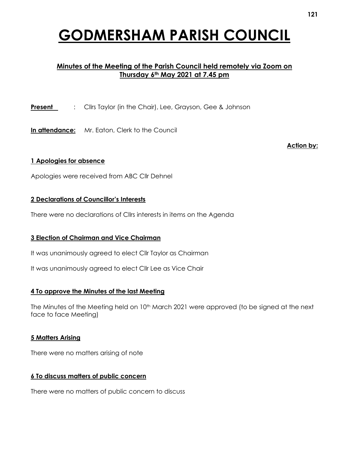# **GODMERSHAM PARISH COUNCIL**

# **Minutes of the Meeting of the Parish Council held remotely via Zoom on Thursday 6th May 2021 at 7.45 pm**

**Present** : Cllrs Taylor (in the Chair), Lee, Grayson, Gee & Johnson

**In attendance:** Mr. Eaton, Clerk to the Council

**Action by:**

#### **1 Apologies for absence**

Apologies were received from ABC Cllr Dehnel

#### **2 Declarations of Councillor's Interests**

There were no declarations of Cllrs interests in items on the Agenda

## **3 Election of Chairman and Vice Chairman**

It was unanimously agreed to elect Cllr Taylor as Chairman

It was unanimously agreed to elect Cllr Lee as Vice Chair

#### **4 To approve the Minutes of the last Meeting**

The Minutes of the Meeting held on 10<sup>th</sup> March 2021 were approved (to be signed at the next face to face Meeting)

#### **5 Matters Arising**

There were no matters arising of note

#### **6 To discuss matters of public concern**

There were no matters of public concern to discuss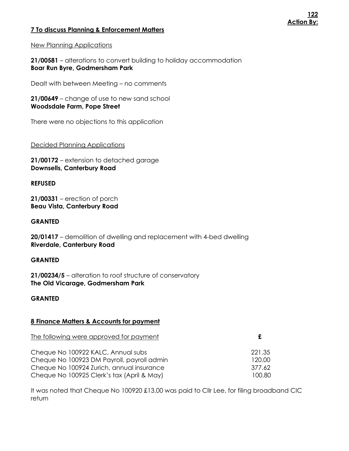# **7 To discuss Planning & Enforcement Matters**

**21/00581** – alterations to convert building to holiday accommodation **Boar Run Byre, Godmersham Park**

Dealt with between Meeting – no comments

**21/00649** – change of use to new sand school **Woodsdale Farm, Pope Street**

There were no objections to this application

Decided Planning Applications

**21/00172** – extension to detached garage **Downsells, Canterbury Road**

# **REFUSED**

**21/00331** – erection of porch **Beau Vista, Canterbury Road**

# **GRANTED**

**20/01417** – demolition of dwelling and replacement with 4-bed dwelling **Riverdale, Canterbury Road**

# **GRANTED**

**21/00234/5** – alteration to roof structure of conservatory **The Old Vicarage, Godmersham Park**

# **GRANTED**

# **8 Finance Matters & Accounts for payment**

| The following were approved for payment    | £      |
|--------------------------------------------|--------|
| Cheque No 100922 KALC, Annual subs         | 221.35 |
| Cheque No 100923 DM Payroll, payroll admin | 120.00 |
| Cheque No 100924 Zurich, annual insurance  | 377.62 |
| Cheque No 100925 Clerk's tax (April & May) | 100.80 |

It was noted that Cheque No 100920 £13.00 was paid to Cllr Lee, for filing broadband CIC return